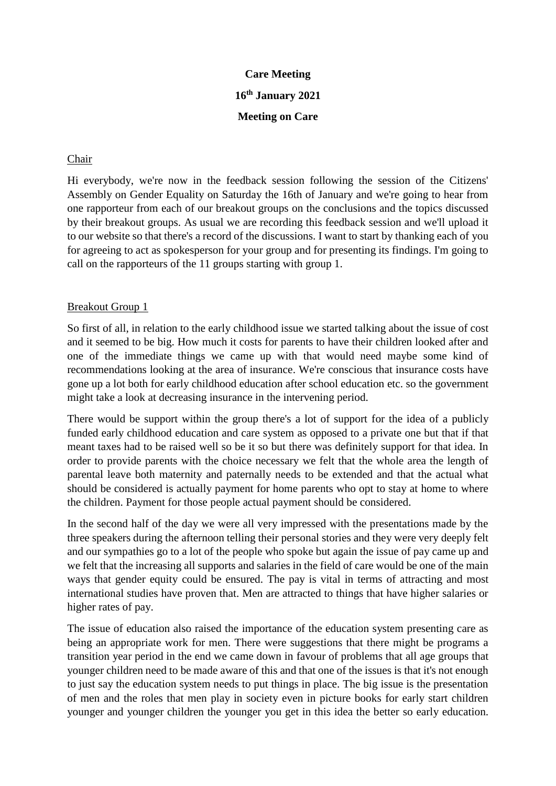# **Care Meeting 16th January 2021**

# **Meeting on Care**

### Chair

Hi everybody, we're now in the feedback session following the session of the Citizens' Assembly on Gender Equality on Saturday the 16th of January and we're going to hear from one rapporteur from each of our breakout groups on the conclusions and the topics discussed by their breakout groups. As usual we are recording this feedback session and we'll upload it to our website so that there's a record of the discussions. I want to start by thanking each of you for agreeing to act as spokesperson for your group and for presenting its findings. I'm going to call on the rapporteurs of the 11 groups starting with group 1.

# Breakout Group 1

So first of all, in relation to the early childhood issue we started talking about the issue of cost and it seemed to be big. How much it costs for parents to have their children looked after and one of the immediate things we came up with that would need maybe some kind of recommendations looking at the area of insurance. We're conscious that insurance costs have gone up a lot both for early childhood education after school education etc. so the government might take a look at decreasing insurance in the intervening period.

There would be support within the group there's a lot of support for the idea of a publicly funded early childhood education and care system as opposed to a private one but that if that meant taxes had to be raised well so be it so but there was definitely support for that idea. In order to provide parents with the choice necessary we felt that the whole area the length of parental leave both maternity and paternally needs to be extended and that the actual what should be considered is actually payment for home parents who opt to stay at home to where the children. Payment for those people actual payment should be considered.

In the second half of the day we were all very impressed with the presentations made by the three speakers during the afternoon telling their personal stories and they were very deeply felt and our sympathies go to a lot of the people who spoke but again the issue of pay came up and we felt that the increasing all supports and salaries in the field of care would be one of the main ways that gender equity could be ensured. The pay is vital in terms of attracting and most international studies have proven that. Men are attracted to things that have higher salaries or higher rates of pay.

The issue of education also raised the importance of the education system presenting care as being an appropriate work for men. There were suggestions that there might be programs a transition year period in the end we came down in favour of problems that all age groups that younger children need to be made aware of this and that one of the issues is that it's not enough to just say the education system needs to put things in place. The big issue is the presentation of men and the roles that men play in society even in picture books for early start children younger and younger children the younger you get in this idea the better so early education.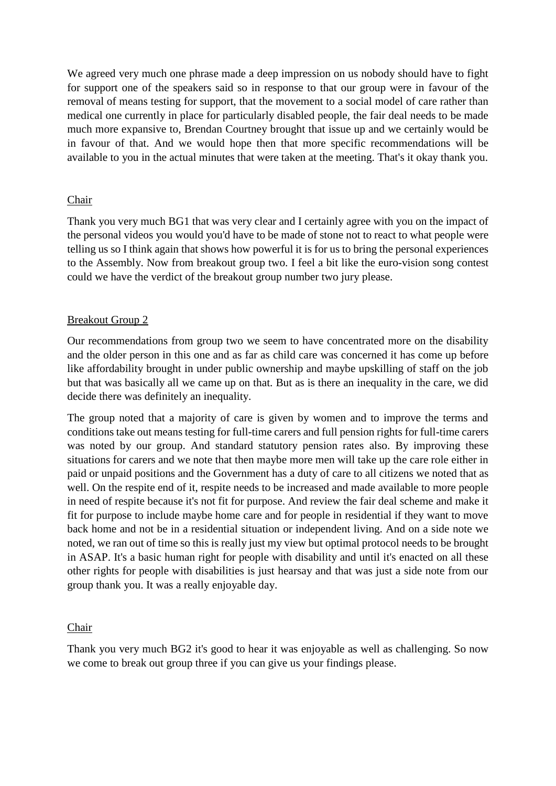We agreed very much one phrase made a deep impression on us nobody should have to fight for support one of the speakers said so in response to that our group were in favour of the removal of means testing for support, that the movement to a social model of care rather than medical one currently in place for particularly disabled people, the fair deal needs to be made much more expansive to, Brendan Courtney brought that issue up and we certainly would be in favour of that. And we would hope then that more specific recommendations will be available to you in the actual minutes that were taken at the meeting. That's it okay thank you.

### Chair

Thank you very much BG1 that was very clear and I certainly agree with you on the impact of the personal videos you would you'd have to be made of stone not to react to what people were telling us so I think again that shows how powerful it is for us to bring the personal experiences to the Assembly. Now from breakout group two. I feel a bit like the euro-vision song contest could we have the verdict of the breakout group number two jury please.

### Breakout Group 2

Our recommendations from group two we seem to have concentrated more on the disability and the older person in this one and as far as child care was concerned it has come up before like affordability brought in under public ownership and maybe upskilling of staff on the job but that was basically all we came up on that. But as is there an inequality in the care, we did decide there was definitely an inequality.

The group noted that a majority of care is given by women and to improve the terms and conditions take out means testing for full-time carers and full pension rights for full-time carers was noted by our group. And standard statutory pension rates also. By improving these situations for carers and we note that then maybe more men will take up the care role either in paid or unpaid positions and the Government has a duty of care to all citizens we noted that as well. On the respite end of it, respite needs to be increased and made available to more people in need of respite because it's not fit for purpose. And review the fair deal scheme and make it fit for purpose to include maybe home care and for people in residential if they want to move back home and not be in a residential situation or independent living. And on a side note we noted, we ran out of time so this is really just my view but optimal protocol needs to be brought in ASAP. It's a basic human right for people with disability and until it's enacted on all these other rights for people with disabilities is just hearsay and that was just a side note from our group thank you. It was a really enjoyable day.

#### Chair

Thank you very much BG2 it's good to hear it was enjoyable as well as challenging. So now we come to break out group three if you can give us your findings please.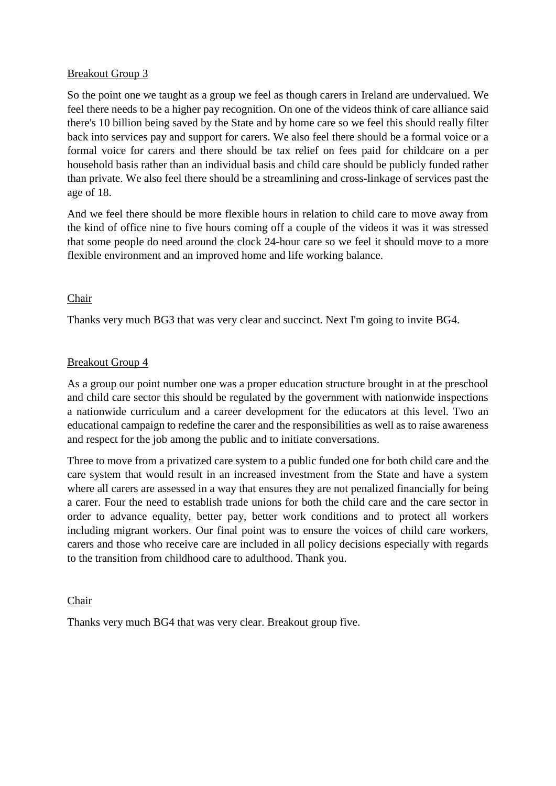### Breakout Group 3

So the point one we taught as a group we feel as though carers in Ireland are undervalued. We feel there needs to be a higher pay recognition. On one of the videos think of care alliance said there's 10 billion being saved by the State and by home care so we feel this should really filter back into services pay and support for carers. We also feel there should be a formal voice or a formal voice for carers and there should be tax relief on fees paid for childcare on a per household basis rather than an individual basis and child care should be publicly funded rather than private. We also feel there should be a streamlining and cross-linkage of services past the age of 18.

And we feel there should be more flexible hours in relation to child care to move away from the kind of office nine to five hours coming off a couple of the videos it was it was stressed that some people do need around the clock 24-hour care so we feel it should move to a more flexible environment and an improved home and life working balance.

# Chair

Thanks very much BG3 that was very clear and succinct. Next I'm going to invite BG4.

### Breakout Group 4

As a group our point number one was a proper education structure brought in at the preschool and child care sector this should be regulated by the government with nationwide inspections a nationwide curriculum and a career development for the educators at this level. Two an educational campaign to redefine the carer and the responsibilities as well as to raise awareness and respect for the job among the public and to initiate conversations.

Three to move from a privatized care system to a public funded one for both child care and the care system that would result in an increased investment from the State and have a system where all carers are assessed in a way that ensures they are not penalized financially for being a carer. Four the need to establish trade unions for both the child care and the care sector in order to advance equality, better pay, better work conditions and to protect all workers including migrant workers. Our final point was to ensure the voices of child care workers, carers and those who receive care are included in all policy decisions especially with regards to the transition from childhood care to adulthood. Thank you.

#### Chair

Thanks very much BG4 that was very clear. Breakout group five.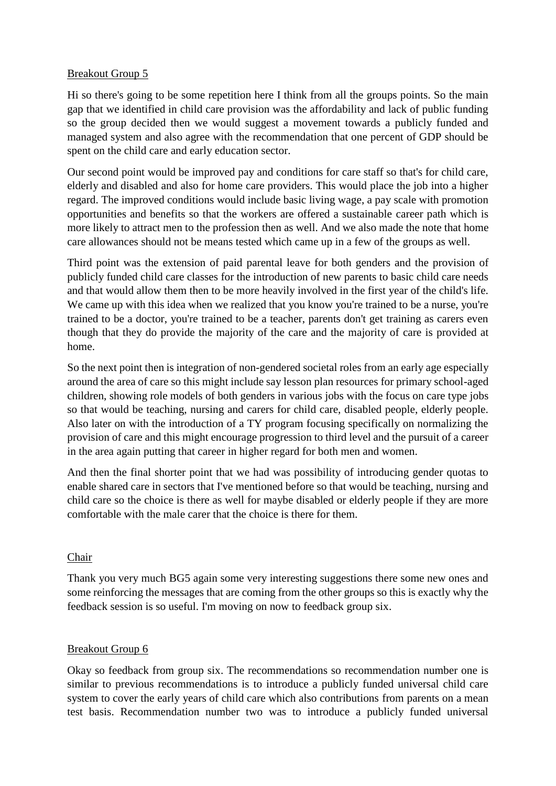### Breakout Group 5

Hi so there's going to be some repetition here I think from all the groups points. So the main gap that we identified in child care provision was the affordability and lack of public funding so the group decided then we would suggest a movement towards a publicly funded and managed system and also agree with the recommendation that one percent of GDP should be spent on the child care and early education sector.

Our second point would be improved pay and conditions for care staff so that's for child care, elderly and disabled and also for home care providers. This would place the job into a higher regard. The improved conditions would include basic living wage, a pay scale with promotion opportunities and benefits so that the workers are offered a sustainable career path which is more likely to attract men to the profession then as well. And we also made the note that home care allowances should not be means tested which came up in a few of the groups as well.

Third point was the extension of paid parental leave for both genders and the provision of publicly funded child care classes for the introduction of new parents to basic child care needs and that would allow them then to be more heavily involved in the first year of the child's life. We came up with this idea when we realized that you know you're trained to be a nurse, you're trained to be a doctor, you're trained to be a teacher, parents don't get training as carers even though that they do provide the majority of the care and the majority of care is provided at home.

So the next point then is integration of non-gendered societal roles from an early age especially around the area of care so this might include say lesson plan resources for primary school-aged children, showing role models of both genders in various jobs with the focus on care type jobs so that would be teaching, nursing and carers for child care, disabled people, elderly people. Also later on with the introduction of a TY program focusing specifically on normalizing the provision of care and this might encourage progression to third level and the pursuit of a career in the area again putting that career in higher regard for both men and women.

And then the final shorter point that we had was possibility of introducing gender quotas to enable shared care in sectors that I've mentioned before so that would be teaching, nursing and child care so the choice is there as well for maybe disabled or elderly people if they are more comfortable with the male carer that the choice is there for them.

# Chair

Thank you very much BG5 again some very interesting suggestions there some new ones and some reinforcing the messages that are coming from the other groups so this is exactly why the feedback session is so useful. I'm moving on now to feedback group six.

# Breakout Group 6

Okay so feedback from group six. The recommendations so recommendation number one is similar to previous recommendations is to introduce a publicly funded universal child care system to cover the early years of child care which also contributions from parents on a mean test basis. Recommendation number two was to introduce a publicly funded universal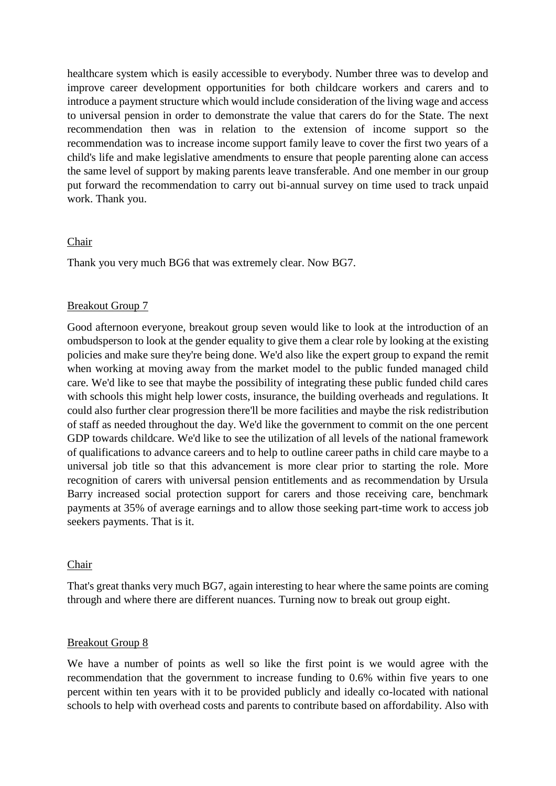healthcare system which is easily accessible to everybody. Number three was to develop and improve career development opportunities for both childcare workers and carers and to introduce a payment structure which would include consideration of the living wage and access to universal pension in order to demonstrate the value that carers do for the State. The next recommendation then was in relation to the extension of income support so the recommendation was to increase income support family leave to cover the first two years of a child's life and make legislative amendments to ensure that people parenting alone can access the same level of support by making parents leave transferable. And one member in our group put forward the recommendation to carry out bi-annual survey on time used to track unpaid work. Thank you.

#### Chair

Thank you very much BG6 that was extremely clear. Now BG7.

#### Breakout Group 7

Good afternoon everyone, breakout group seven would like to look at the introduction of an ombudsperson to look at the gender equality to give them a clear role by looking at the existing policies and make sure they're being done. We'd also like the expert group to expand the remit when working at moving away from the market model to the public funded managed child care. We'd like to see that maybe the possibility of integrating these public funded child cares with schools this might help lower costs, insurance, the building overheads and regulations. It could also further clear progression there'll be more facilities and maybe the risk redistribution of staff as needed throughout the day. We'd like the government to commit on the one percent GDP towards childcare. We'd like to see the utilization of all levels of the national framework of qualifications to advance careers and to help to outline career paths in child care maybe to a universal job title so that this advancement is more clear prior to starting the role. More recognition of carers with universal pension entitlements and as recommendation by Ursula Barry increased social protection support for carers and those receiving care, benchmark payments at 35% of average earnings and to allow those seeking part-time work to access job seekers payments. That is it.

#### Chair

That's great thanks very much BG7, again interesting to hear where the same points are coming through and where there are different nuances. Turning now to break out group eight.

#### Breakout Group 8

We have a number of points as well so like the first point is we would agree with the recommendation that the government to increase funding to 0.6% within five years to one percent within ten years with it to be provided publicly and ideally co-located with national schools to help with overhead costs and parents to contribute based on affordability. Also with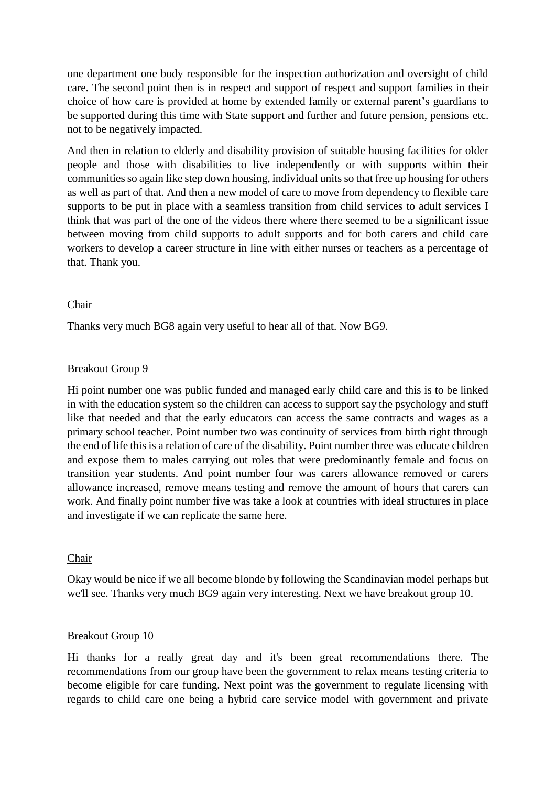one department one body responsible for the inspection authorization and oversight of child care. The second point then is in respect and support of respect and support families in their choice of how care is provided at home by extended family or external parent's guardians to be supported during this time with State support and further and future pension, pensions etc. not to be negatively impacted.

And then in relation to elderly and disability provision of suitable housing facilities for older people and those with disabilities to live independently or with supports within their communities so again like step down housing, individual units so that free up housing for others as well as part of that. And then a new model of care to move from dependency to flexible care supports to be put in place with a seamless transition from child services to adult services I think that was part of the one of the videos there where there seemed to be a significant issue between moving from child supports to adult supports and for both carers and child care workers to develop a career structure in line with either nurses or teachers as a percentage of that. Thank you.

#### Chair

Thanks very much BG8 again very useful to hear all of that. Now BG9.

#### Breakout Group 9

Hi point number one was public funded and managed early child care and this is to be linked in with the education system so the children can access to support say the psychology and stuff like that needed and that the early educators can access the same contracts and wages as a primary school teacher. Point number two was continuity of services from birth right through the end of life this is a relation of care of the disability. Point number three was educate children and expose them to males carrying out roles that were predominantly female and focus on transition year students. And point number four was carers allowance removed or carers allowance increased, remove means testing and remove the amount of hours that carers can work. And finally point number five was take a look at countries with ideal structures in place and investigate if we can replicate the same here.

#### Chair

Okay would be nice if we all become blonde by following the Scandinavian model perhaps but we'll see. Thanks very much BG9 again very interesting. Next we have breakout group 10.

#### Breakout Group 10

Hi thanks for a really great day and it's been great recommendations there. The recommendations from our group have been the government to relax means testing criteria to become eligible for care funding. Next point was the government to regulate licensing with regards to child care one being a hybrid care service model with government and private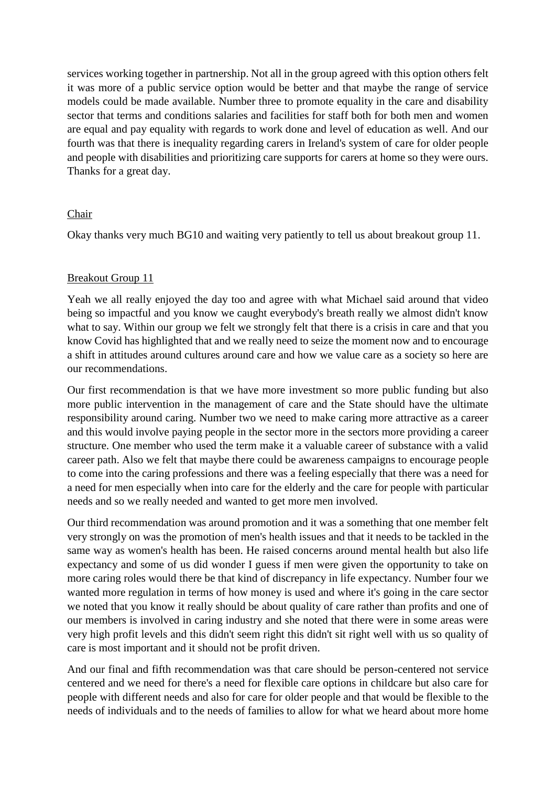services working together in partnership. Not all in the group agreed with this option others felt it was more of a public service option would be better and that maybe the range of service models could be made available. Number three to promote equality in the care and disability sector that terms and conditions salaries and facilities for staff both for both men and women are equal and pay equality with regards to work done and level of education as well. And our fourth was that there is inequality regarding carers in Ireland's system of care for older people and people with disabilities and prioritizing care supports for carers at home so they were ours. Thanks for a great day.

# Chair

Okay thanks very much BG10 and waiting very patiently to tell us about breakout group 11.

### Breakout Group 11

Yeah we all really enjoyed the day too and agree with what Michael said around that video being so impactful and you know we caught everybody's breath really we almost didn't know what to say. Within our group we felt we strongly felt that there is a crisis in care and that you know Covid has highlighted that and we really need to seize the moment now and to encourage a shift in attitudes around cultures around care and how we value care as a society so here are our recommendations.

Our first recommendation is that we have more investment so more public funding but also more public intervention in the management of care and the State should have the ultimate responsibility around caring. Number two we need to make caring more attractive as a career and this would involve paying people in the sector more in the sectors more providing a career structure. One member who used the term make it a valuable career of substance with a valid career path. Also we felt that maybe there could be awareness campaigns to encourage people to come into the caring professions and there was a feeling especially that there was a need for a need for men especially when into care for the elderly and the care for people with particular needs and so we really needed and wanted to get more men involved.

Our third recommendation was around promotion and it was a something that one member felt very strongly on was the promotion of men's health issues and that it needs to be tackled in the same way as women's health has been. He raised concerns around mental health but also life expectancy and some of us did wonder I guess if men were given the opportunity to take on more caring roles would there be that kind of discrepancy in life expectancy. Number four we wanted more regulation in terms of how money is used and where it's going in the care sector we noted that you know it really should be about quality of care rather than profits and one of our members is involved in caring industry and she noted that there were in some areas were very high profit levels and this didn't seem right this didn't sit right well with us so quality of care is most important and it should not be profit driven.

And our final and fifth recommendation was that care should be person-centered not service centered and we need for there's a need for flexible care options in childcare but also care for people with different needs and also for care for older people and that would be flexible to the needs of individuals and to the needs of families to allow for what we heard about more home